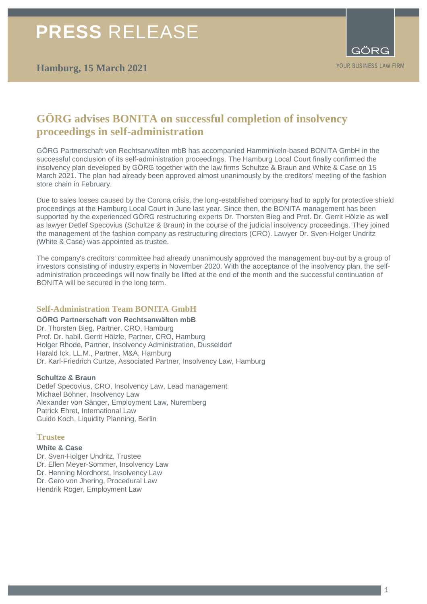# **PRESS** RELEASE

## **Hamburg, 15 March 2021**



## **GÖRG advises BONITA on successful completion of insolvency proceedings in self-administration**

GÖRG Partnerschaft von Rechtsanwälten mbB has accompanied Hamminkeln-based BONITA GmbH in the successful conclusion of its self-administration proceedings. The Hamburg Local Court finally confirmed the insolvency plan developed by GÖRG together with the law firms Schultze & Braun and White & Case on 15 March 2021. The plan had already been approved almost unanimously by the creditors' meeting of the fashion store chain in February.

Due to sales losses caused by the Corona crisis, the long-established company had to apply for protective shield proceedings at the Hamburg Local Court in June last year. Since then, the BONITA management has been supported by the experienced GÖRG restructuring experts Dr. Thorsten Bieg and Prof. Dr. Gerrit Hölzle as well as lawyer Detlef Specovius (Schultze & Braun) in the course of the judicial insolvency proceedings. They joined the management of the fashion company as restructuring directors (CRO). Lawyer Dr. Sven-Holger Undritz (White & Case) was appointed as trustee.

The company's creditors' committee had already unanimously approved the management buy-out by a group of investors consisting of industry experts in November 2020. With the acceptance of the insolvency plan, the selfadministration proceedings will now finally be lifted at the end of the month and the successful continuation of BONITA will be secured in the long term.

### **Self-Administration Team BONITA GmbH**

**GÖRG Partnerschaft von Rechtsanwälten mbB** Dr. Thorsten Bieg, Partner, CRO, Hamburg Prof. Dr. habil. Gerrit Hölzle, Partner, CRO, Hamburg Holger Rhode, Partner, Insolvency Administration, Dusseldorf Harald Ick, LL.M., Partner, M&A, Hamburg Dr. Karl-Friedrich Curtze, Associated Partner, Insolvency Law, Hamburg

#### **Schultze & Braun**

Detlef Specovius, CRO, Insolvency Law, Lead management Michael Böhner, Insolvency Law Alexander von Sänger, Employment Law, Nuremberg Patrick Ehret, International Law Guido Koch, Liquidity Planning, Berlin

#### **Trustee**

**White & Case** Dr. Sven-Holger Undritz, Trustee Dr. Ellen Meyer-Sommer, Insolvency Law Dr. Henning Mordhorst, Insolvency Law Dr. Gero von Jhering, Procedural Law Hendrik Röger, Employment Law